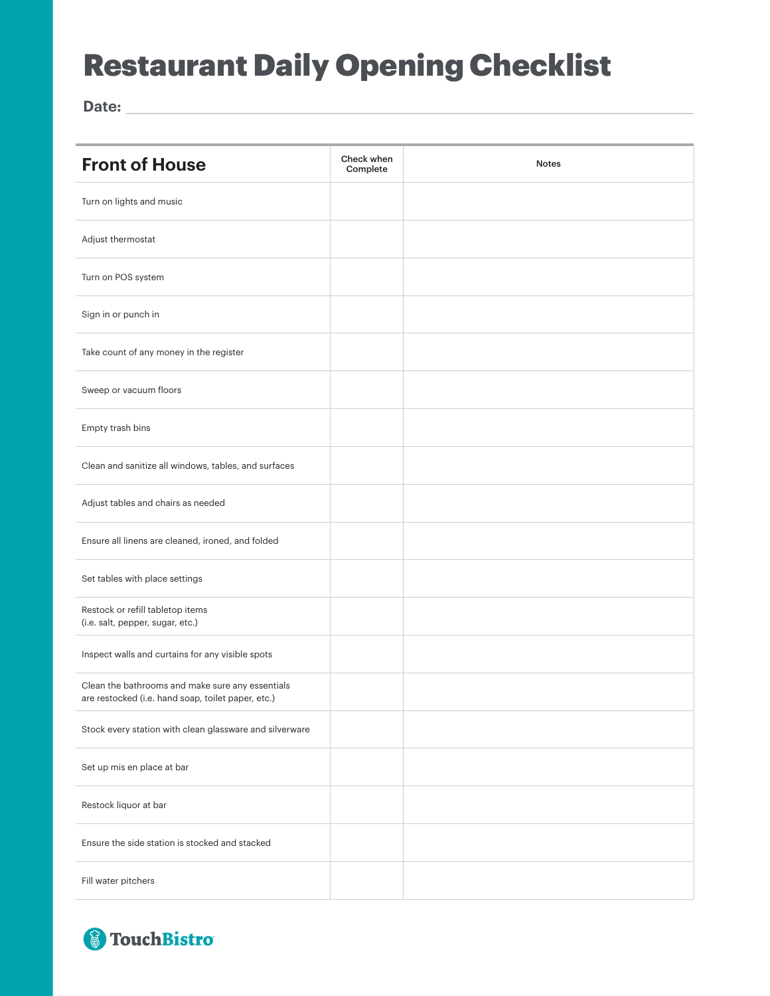## Restaurant Daily Opening Checklist

**Date:**

| <b>Front of House</b>                                                                                  | Check when<br>Complete | <b>Notes</b> |
|--------------------------------------------------------------------------------------------------------|------------------------|--------------|
| Turn on lights and music                                                                               |                        |              |
| Adjust thermostat                                                                                      |                        |              |
| Turn on POS system                                                                                     |                        |              |
| Sign in or punch in                                                                                    |                        |              |
| Take count of any money in the register                                                                |                        |              |
| Sweep or vacuum floors                                                                                 |                        |              |
| Empty trash bins                                                                                       |                        |              |
| Clean and sanitize all windows, tables, and surfaces                                                   |                        |              |
| Adjust tables and chairs as needed                                                                     |                        |              |
| Ensure all linens are cleaned, ironed, and folded                                                      |                        |              |
| Set tables with place settings                                                                         |                        |              |
| Restock or refill tabletop items<br>(i.e. salt, pepper, sugar, etc.)                                   |                        |              |
| Inspect walls and curtains for any visible spots                                                       |                        |              |
| Clean the bathrooms and make sure any essentials<br>are restocked (i.e. hand soap, toilet paper, etc.) |                        |              |
| Stock every station with clean glassware and silverware                                                |                        |              |
| Set up mis en place at bar                                                                             |                        |              |
| Restock liquor at bar                                                                                  |                        |              |
| Ensure the side station is stocked and stacked                                                         |                        |              |
| Fill water pitchers                                                                                    |                        |              |

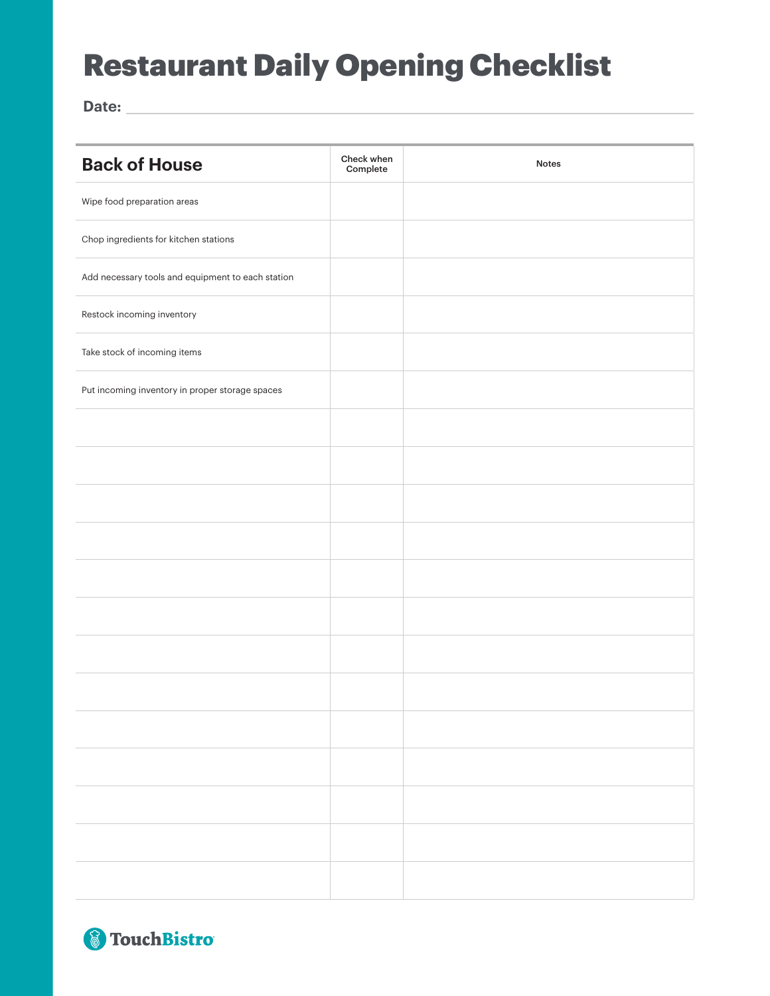## Restaurant Daily Opening Checklist

**Date:**

| <b>Back of House</b>                              | Check when<br>Complete | <b>Notes</b> |
|---------------------------------------------------|------------------------|--------------|
| Wipe food preparation areas                       |                        |              |
| Chop ingredients for kitchen stations             |                        |              |
| Add necessary tools and equipment to each station |                        |              |
| Restock incoming inventory                        |                        |              |
| Take stock of incoming items                      |                        |              |
| Put incoming inventory in proper storage spaces   |                        |              |
|                                                   |                        |              |
|                                                   |                        |              |
|                                                   |                        |              |
|                                                   |                        |              |
|                                                   |                        |              |
|                                                   |                        |              |
|                                                   |                        |              |
|                                                   |                        |              |
|                                                   |                        |              |
|                                                   |                        |              |
|                                                   |                        |              |
|                                                   |                        |              |
|                                                   |                        |              |

8 TouchBistro